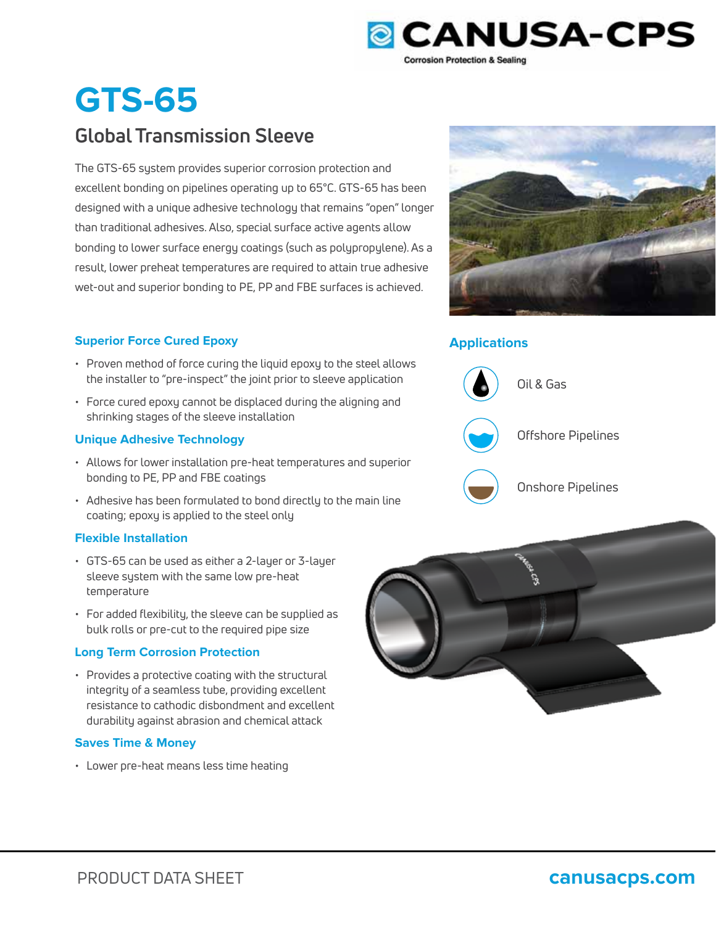

# **GTS-65**

## **Global Transmission Sleeve**

The GTS-65 system provides superior corrosion protection and excellent bonding on pipelines operating up to 65°C. GTS-65 has been designed with a unique adhesive technology that remains "open" longer than traditional adhesives. Also, special surface active agents allow bonding to lower surface energy coatings (such as polypropylene). As a result, lower preheat temperatures are required to attain true adhesive wet-out and superior bonding to PE, PP and FBE surfaces is achieved.

### **Superior Force Cured Epoxy Applications**

- Proven method of force curing the liquid epoxy to the steel allows the installer to "pre-inspect" the joint prior to sleeve application
- Force cured epoxy cannot be displaced during the aligning and shrinking stages of the sleeve installation

### **Unique Adhesive Technology**

- Allows for lower installation pre-heat temperatures and superior bonding to PE, PP and FBE coatings
- Adhesive has been formulated to bond directly to the main line coating; epoxy is applied to the steel only

### **Flexible Installation**

- GTS-65 can be used as either a 2-layer or 3-layer sleeve system with the same low pre-heat temperature
- For added flexibility, the sleeve can be supplied as bulk rolls or pre-cut to the required pipe size

### **Long Term Corrosion Protection**

• Provides a protective coating with the structural integrity of a seamless tube, providing excellent resistance to cathodic disbondment and excellent durability against abrasion and chemical attack

### **Saves Time & Money**

• Lower pre-heat means less time heating